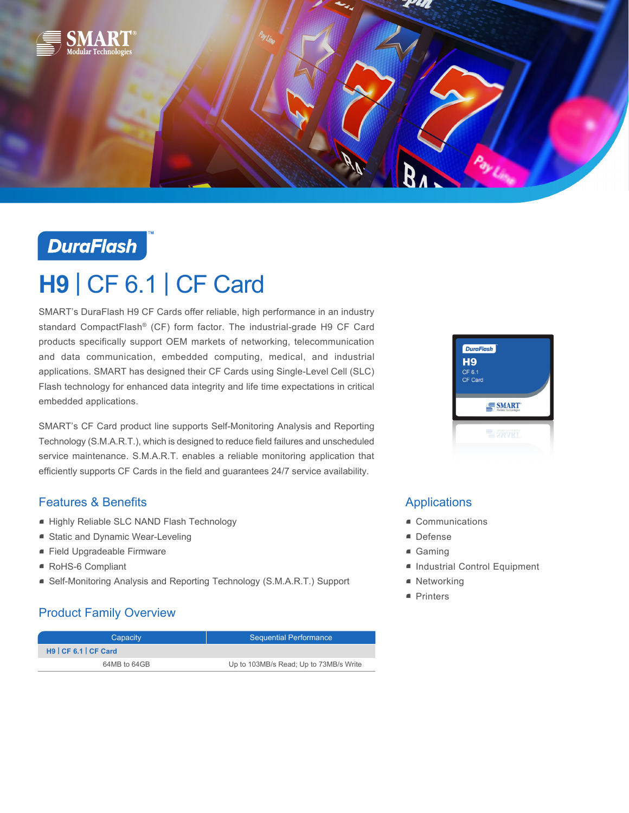



# **H9** | CF 6.1 | CF Card

SMART's DuraFlash H9 CF Cards offer reliable, high performance in an industry standard CompactFlash® (CF) form factor. The industrial-grade H9 CF Card products specifically support OEM markets of networking, telecommunication and data communication, embedded computing, medical, and industrial applications. SMART has designed their CF Cards using Single-Level Cell (SLC) Flash technology for enhanced data integrity and life time expectations in critical embedded applications.

SMART's CF Card product line supports Self-Monitoring Analysis and Reporting Technology (S.M.A.R.T.), which is designed to reduce field failures and unscheduled service maintenance. S.M.A.R.T. enables a reliable monitoring application that efficiently supports CF Cards in the field and guarantees 24/7 service availability.

## Features & Benefits

- Highly Reliable SLC NAND Flash Technology
- Static and Dynamic Wear-Leveling
- Field Upgradeable Firmware
- RoHS-6 Compliant
- Self-Monitoring Analysis and Reporting Technology (S.M.A.R.T.) Support

## Product Family Overview

| Capacity              | <b>Sequential Performance</b>          |  |
|-----------------------|----------------------------------------|--|
| H9   CF 6.1   CF Card |                                        |  |
| 64MB to 64GB          | Up to 103MB/s Read; Up to 73MB/s Write |  |



## Applications

- Communications
- Defense
- Gaming
- Industrial Control Equipment
- Networking
- Printers